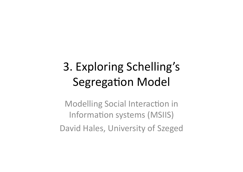# 3. Exploring Schelling's Segregation Model

Modelling Social Interaction in Information systems (MSIIS) David Hales, University of Szeged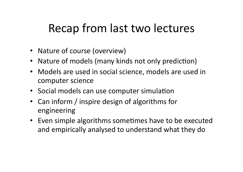#### Recap from last two lectures

- Nature of course (overview)
- Nature of models (many kinds not only prediction)
- Models are used in social science, models are used in computer science
- Social models can use computer simulation
- Can inform / inspire design of algorithms for engineering
- Even simple algorithms sometimes have to be executed and empirically analysed to understand what they do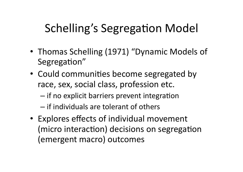# Schelling's Segregation Model

- Thomas Schelling (1971) "Dynamic Models of Segregation"
- Could communities become segregated by race, sex, social class, profession etc.
	- $-$  if no explicit barriers prevent integration
	- $-$  if individuals are tolerant of others
- Explores effects of individual movement (micro interaction) decisions on segregation (emergent macro) outcomes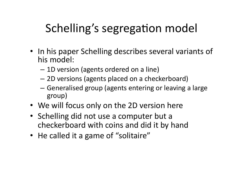- In his paper Schelling describes several variants of his model:
	- $-1D$  version (agents ordered on a line)
	- $-$  2D versions (agents placed on a checkerboard)
	- Generalised group (agents entering or leaving a large group)
- We will focus only on the 2D version here
- Schelling did not use a computer but a checkerboard with coins and did it by hand
- He called it a game of "solitaire"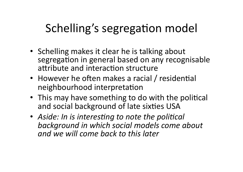- Schelling makes it clear he is talking about segregation in general based on any recognisable attribute and interaction structure
- However he often makes a racial / residential neighbourhood interpretation
- This may have something to do with the political and social background of late sixties USA
- Aside: In is interesting to note the political *background'in'which'social'models'come'about' and'we'will'come'back'to'this'later''*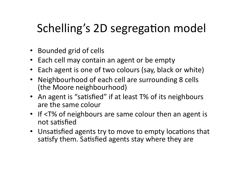- Bounded grid of cells
- Each cell may contain an agent or be empty
- Each agent is one of two colours (say, black or white)
- Neighbourhood of each cell are surrounding 8 cells (the Moore neighbourhood)
- An agent is "satisfied" if at least T% of its neighbours are the same colour
- If <T% of neighbours are same colour then an agent is not satisfied
- Unsatisfied agents try to move to empty locations that satisfy them. Satisfied agents stay where they are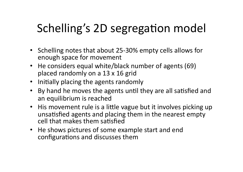- Schelling notes that about 25-30% empty cells allows for enough space for movement
- He considers equal white/black number of agents (69) placed randomly on a  $13 \times 16$  grid
- Initially placing the agents randomly
- By hand he moves the agents until they are all satisfied and an equilibrium is reached
- His movement rule is a little vague but it involves picking up unsatisfied agents and placing them in the nearest empty cell that makes them satisfied
- He shows pictures of some example start and end configurations and discusses them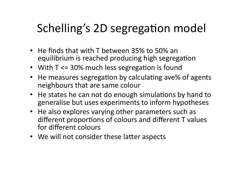- He finds that with T between 35% to 50% an equilibrium is reached producing high segregation
- With  $T \le 30\%$  much less segregation is found
- He measures segregation by calculating ave% of agents neighbours that are same colour
- He states he can not do enough simulations by hand to generalise but uses experiments to inform hypotheses
- He also explores varying other parameters such as different proportions of colours and different T values for different colours
- We will not consider these latter aspects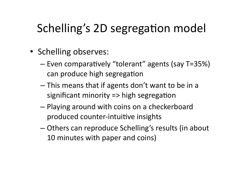- Schelling observes:
	- $-$  Even comparatively "tolerant" agents (say T=35%) can produce high segregation
	- $-$  This means that if agents don't want to be in a significant minority  $\Rightarrow$  high segregation
	- $-$  Playing around with coins on a checkerboard produced counter-intuitive insights
	- Others can reproduce Schelling's results (in about 10 minutes with paper and coins)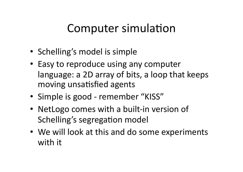## Computer simulation

- Schelling's model is simple
- Easy to reproduce using any computer language: a 2D array of bits, a loop that keeps moving unsatisfied agents
- Simple is good remember "KISS"
- NetLogo comes with a built-in version of Schelling's segregation model
- We will look at this and do some experiments with it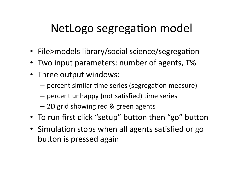# NetLogo segregation model

- File>models library/social science/segregation
- Two input parameters: number of agents, T%
- Three output windows:
	- $-$  percent similar time series (segregation measure)
	- $-$  percent unhappy (not satisfied) time series
	- $-$  2D grid showing red & green agents
- To run first click "setup" button then "go" button
- Simulation stops when all agents satisfied or go button is pressed again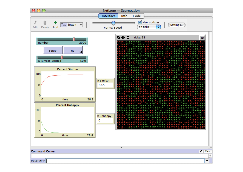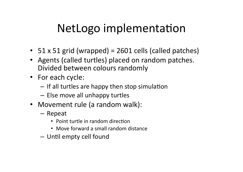## NetLogo implementation

- $51 \times 51$  grid (wrapped) = 2601 cells (called patches)
- Agents (called turtles) placed on random patches. Divided between colours randomly
- For each cycle:
	- $-$  If all turtles are happy then stop simulation
	- $-$  Else move all unhappy turtles
- Movement rule (a random walk):
	- $-$  Repeat
		- $\cdot$  Point turtle in random direction
		- Move forward a small random distance
	- $-$  Until empty cell found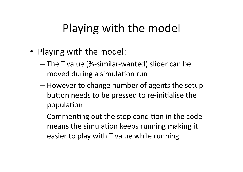# Playing with the model

- Playing with the model:
	- $-$  The T value (%-similar-wanted) slider can be moved during a simulation run
	- $-$  However to change number of agents the setup button needs to be pressed to re-initialise the population
	- $-$  Commenting out the stop condition in the code means the simulation keeps running making it easier to play with T value while running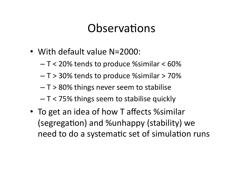#### Observations

- With default value  $N=2000$ :
	- $-$  T < 20% tends to produce %similar < 60%
	- $T > 30\%$  tends to produce %similar  $> 70\%$
	- $T$  > 80% things never seem to stabilise
	- $T < 75\%$  things seem to stabilise quickly
- To get an idea of how T affects %similar (segregation) and %unhappy (stability) we need to do a systematic set of simulation runs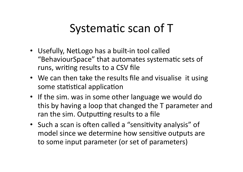#### Systematic scan of T

- Usefully, NetLogo has a built-in tool called "BehaviourSpace" that automates systematic sets of runs, writing results to a CSV file
- We can then take the results file and visualise it using some statistical application
- If the sim. was in some other language we would do this by having a loop that changed the  $T$  parameter and ran the sim. Outputting results to a file
- Such a scan is often called a "sensitivity analysis" of model since we determine how sensitive outputs are to some input parameter (or set of parameters)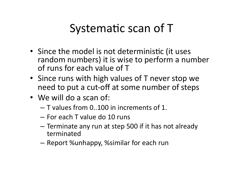#### Systematic scan of T

- Since the model is not deterministic (it uses random numbers) it is wise to perform a number of runs for each value of  $T$
- Since runs with high values of T never stop we need to put a cut-off at some number of steps
- We will do a scan of:
	- $-$  T values from 0..100 in increments of 1.
	- $-$  For each T value do 10 runs
	- Terminate any run at step 500 if it has not already terminated
	- $-$  Report %unhappy, %similar for each run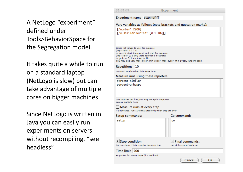A NetLogo "experiment" defined under Tools>BehaviorSpace for the Segregation model.

It takes quite a while to run on a standard laptop (NetLogo is slow) but can take advantage of multiple cores on bigger machines

Since NetLogo is written in Java you can easily run experiments on servers without recompiling. "see headless"

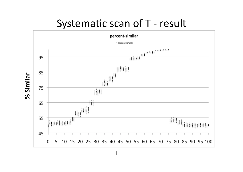#### Systematic scan of T - result



 $T$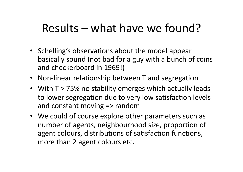#### Results – what have we found?

- Schelling's observations about the model appear basically sound (not bad for a guy with a bunch of coins and checkerboard in 1969!)
- Non-linear relationship between T and segregation
- With  $T > 75%$  no stability emerges which actually leads to lower segregation due to very low satisfaction levels and constant moving  $\Rightarrow$  random
- We could of course explore other parameters such as number of agents, neighbourhood size, proportion of agent colours, distributions of satisfaction functions, more than 2 agent colours etc.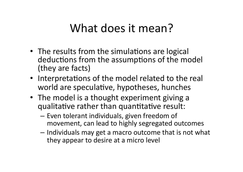#### What does it mean?

- The results from the simulations are logical deductions from the assumptions of the model (they are facts)
- Interpretations of the model related to the real world are speculative, hypotheses, hunches
- The model is a thought experiment giving a qualitative rather than quantitative result:
	- $-$  Even tolerant individuals, given freedom of movement, can lead to highly segregated outcomes
	- $-$  Individuals may get a macro outcome that is not what they appear to desire at a micro level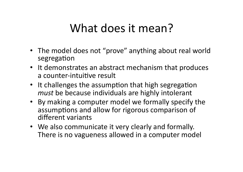## What does it mean?

- The model does not "prove" anything about real world segregation
- It demonstrates an abstract mechanism that produces a counter-intuitive result
- It challenges the assumption that high segregation *must* be because individuals are highly intolerant
- By making a computer model we formally specify the assumptions and allow for rigorous comparison of different variants
- We also communicate it very clearly and formally. There is no vagueness allowed in a computer model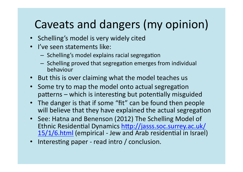## Caveats and dangers (my opinion)

- Schelling's model is very widely cited
- I've seen statements like:
	- $-$  Schelling's model explains racial segregation
	- Schelling proved that segregation emerges from individual behaviour#
- But this is over claiming what the model teaches us
- Some try to map the model onto actual segregation patterns – which is interesting but potentially misguided
- The danger is that if some "fit" can be found then people will believe that they have explained the actual segregation
- See: Hatna and Benenson (2012) The Schelling Model of Ethnic Residential Dynamics http://jasss.soc.surrey.ac.uk/  $15/1/6$ .html (empirical - Jew and Arab residential in Israel)
- Interesting paper read intro / conclusion.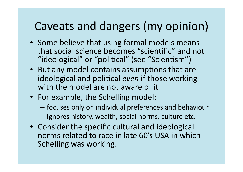#### Caveats and dangers (my opinion)

- Some believe that using formal models means that social science becomes "scientific" and not "ideological" or "political" (see "Scientism")
- But any model contains assumptions that are ideological and political *even* if those working with the model are not aware of it
- For example, the Schelling model:
	- focuses only on individual preferences and behaviour
	- Ignores history, wealth, social norms, culture etc.
- Consider the specific cultural and ideological norms related to race in late 60's USA in which Schelling was working.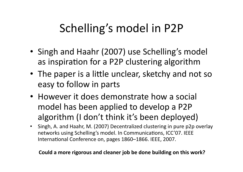- Singh and Haahr (2007) use Schelling's model as inspiration for a P2P clustering algorithm
- The paper is a little unclear, sketchy and not so easy to follow in parts
- However it does demonstrate how a social model has been applied to develop a P2P algorithm (I don't think it's been deployed)
- Singh, A. and Haahr, M. (2007) Decentralized clustering in pure p2p overlay networks using Schelling's model. In Communications, ICC'07. IEEE International Conference on, pages 1860–1866. IEEE, 2007.

#### Could a more rigorous and cleaner job be done building on this work?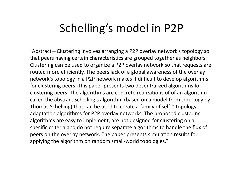"Abstract—Clustering involves arranging a P2P overlay network's topology so that peers having certain characteristics are grouped together as neighbors. Clustering can be used to organize a P2P overlay network so that requests are routed more efficiently. The peers lack of a global awareness of the overlay network's topology in a P2P network makes it difficult to develop algorithms for clustering peers. This paper presents two decentralized algorithms for clustering peers. The algorithms are concrete realizations of of an algorithm called the abstract Schelling's algorithm (based on a model from sociology by Thomas Schelling) that can be used to create a family of self-\* topology adaptation algorithms for P2P overlay networks. The proposed clustering algorithms are easy to implement, are not designed for clustering on a specific criteria and do not require separate algorithms to handle the flux of peers on the overlay network. The paper presents simulation results for applying the algorithm on random small-world topologies."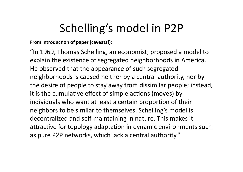**From introduction of paper (caveats!):** 

"In 1969, Thomas Schelling, an economist, proposed a model to explain the existence of segregated neighborhoods in America. He observed that the appearance of such segregated neighborhoods is caused neither by a central authority, nor by the desire of people to stay away from dissimilar people; instead, it is the cumulative effect of simple actions (moves) by individuals who want at least a certain proportion of their neighbors to be similar to themselves. Schelling's model is decentralized and self-maintaining in nature. This makes it attractive for topology adaptation in dynamic environments such as pure P2P networks, which lack a central authority."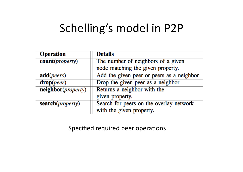| <b>Operation</b>          | <b>Details</b>                            |
|---------------------------|-------------------------------------------|
| count(propert)            | The number of neighbors of a given        |
|                           | node matching the given property.         |
| add(peters)               | Add the given peer or peers as a neighbor |
| drop( <i>peer</i> )       | Drop the given peer as a neighbor         |
| neighbor(property)        | Returns a neighbor with the               |
|                           | given property.                           |
| search( <i>property</i> ) | Search for peers on the overlay network   |
|                           | with the given property.                  |

Specified required peer operations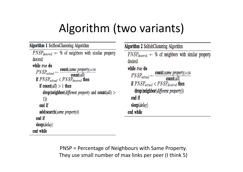# Algorithm (two variants)

| <b>Algorithm 1 SelflessClustering Algorithm</b>                                                                                                                                                                                                                                                                                                                                                                   | <b>Algorithm 2 SelfishClustering Algorithm</b>                                                                                                                                                                                                                                                                     |
|-------------------------------------------------------------------------------------------------------------------------------------------------------------------------------------------------------------------------------------------------------------------------------------------------------------------------------------------------------------------------------------------------------------------|--------------------------------------------------------------------------------------------------------------------------------------------------------------------------------------------------------------------------------------------------------------------------------------------------------------------|
| $PNSP_{desired} \leftarrow %$ of neighbors with similar property<br>desired<br>while true do<br>$PNSP_{actual} \leftarrow \frac{count(same\ property) * 100}{count(all)}$<br>if $PNSP_{actual} < PNSP_{desired}$ then<br>if count( <i>all</i> ) > 1 then<br>$drop(neighbour(different \ property \ and \ count(al) >$<br>1)<br>end if<br><b>add(search(same property))</b><br>end if<br>sleep(delay)<br>end while | $PNSP_{desired} \leftarrow %$ of neighbors with similar property<br>desired<br>while <i>true</i> do<br>$PNSP_{actual} \leftarrow \frac{count(same\ property) * 100}{count(all)}$<br>if $PNSP_{actual} < PNSP_{desired}$ then<br>drop(neighbor(different property))<br>end if<br>$sleep(\text{delay})$<br>end while |
|                                                                                                                                                                                                                                                                                                                                                                                                                   |                                                                                                                                                                                                                                                                                                                    |

PNSP = Percentage of Neighbours with Same Property. They use small number of max links per peer (I think 5)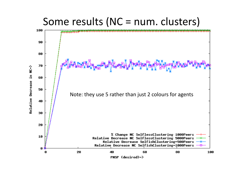#### Some results ( $NC =$  num. clusters)

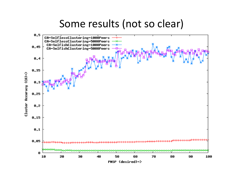#### Some results (not so clear)

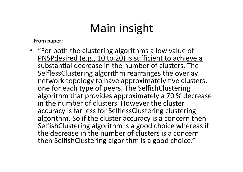# Main insight

**From paper:** 

• "For both the clustering algorithms a low value of PNSPdesired (e.g., 10 to 20) is sufficient to achieve a substantial decrease in the number of clusters. The SelflessClustering algorithm rearranges the overlay network topology to have approximately five clusters, one for each type of peers. The SelfishClustering algorithm that provides approximately a 70 % decrease in the number of clusters. However the cluster accuracy is far less for SelflessClustering clustering algorithm. So if the cluster accuracy is a concern then SelfishClustering algorithm is a good choice whereas if the decrease in the number of clusters is a concern then SelfishClustering algorithm is a good choice."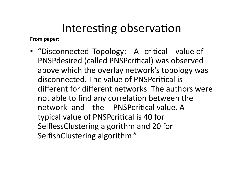## Interesting observation

**From paper:** 

• "Disconnected Topology: A critical value of PNSPdesired (called PNSPcritical) was observed above which the overlay network's topology was disconnected. The value of PNSPcritical is different for different networks. The authors were not able to find any correlation between the network and the PNSPcritical value. A typical value of PNSPcritical is 40 for SelflessClustering algorithm and 20 for SelfishClustering algorithm."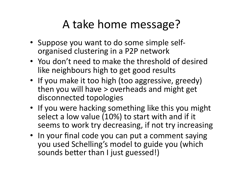# A take home message?

- Suppose you want to do some simple selforganised clustering in a P2P network
- You don't need to make the threshold of desired like neighbours high to get good results
- If you make it too high (too aggressive, greedy) then you will have  $>$  overheads and might get disconnected topologies
- If you were hacking something like this you might select a low value (10%) to start with and if it seems to work try decreasing, if not try increasing
- In your final code you can put a comment saying you used Schelling's model to guide you (which sounds better than I just guessed!)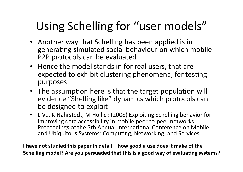# Using Schelling for "user models"

- Another way that Schelling has been applied is in generating simulated social behaviour on which mobile P2P protocols can be evaluated
- Hence the model stands in for real users, that are expected to exhibit clustering phenomena, for testing purposes
- The assumption here is that the target population will evidence "Shelling like" dynamics which protocols can be designed to exploit
- L Vu, K Nahrstedt, M Hollick (2008) Exploiting Schelling behavior for improving data accessibility in mobile peer-to-peer networks. Proceedings of the 5th Annual International Conference on Mobile and Ubiquitous Systems: Computing, Networking, and Services.

I have not studied this paper in detail – how good a use does it make of the Schelling model? Are you persuaded that this is a good way of evaluating systems?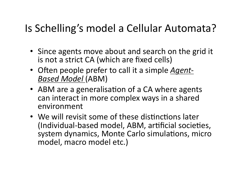#### Is Schelling's model a Cellular Automata?

- Since agents move about and search on the grid it is not a strict CA (which are fixed cells)
- Often people prefer to call it a simple *Agent*-**Based Model (ABM)**
- ABM are a generalisation of a CA where agents can interact in more complex ways in a shared environment#
- We will revisit some of these distinctions later (Individual-based model, ABM, artificial societies, system dynamics, Monte Carlo simulations, micro model, macro model etc.)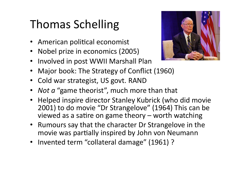# Thomas Schelling

- American political economist
- Nobel prize in economics (2005)
- Involved in post WWII Marshall Plan
- Major book: The Strategy of Conflict (1960)
- Cold war strategist, US govt. RAND
- *Not a* "game theorist", much more than that
- Helped inspire director Stanley Kubrick (who did movie 2001) to do movie "Dr Strangelove" (1964) This can be viewed as a satire on game theory – worth watching
- Rumours say that the character Dr Strangelove in the movie was partially inspired by John von Neumann
- Invented term "collateral damage" (1961) ?